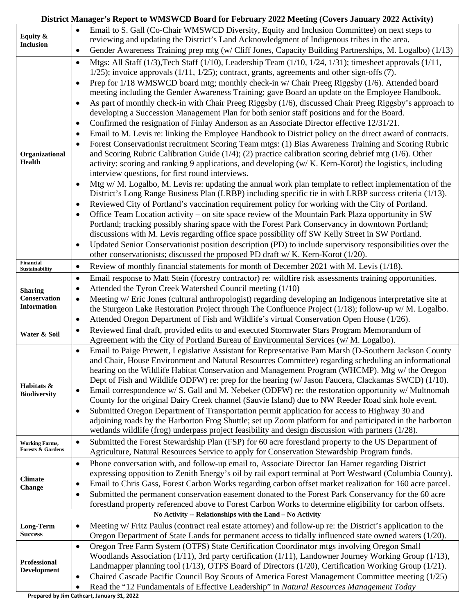### **District Manager's Report to WMSWCD Board for February 2022 Meeting (Covers January 2022 Activity)**

|                                                       | Email to S. Gall (Co-Chair WMSWCD Diversity, Equity and Inclusion Committee) on next steps to                                                                                                                                 |  |
|-------------------------------------------------------|-------------------------------------------------------------------------------------------------------------------------------------------------------------------------------------------------------------------------------|--|
| Equity &<br><b>Inclusion</b>                          | reviewing and updating the District's Land Acknowledgment of Indigenous tribes in the area.                                                                                                                                   |  |
|                                                       | Gender Awareness Training prep mtg (w/ Cliff Jones, Capacity Building Partnerships, M. Logalbo) (1/13)<br>$\bullet$                                                                                                           |  |
|                                                       | Mtgs: All Staff (1/3), Tech Staff (1/10), Leadership Team (1/10, 1/24, 1/31); timesheet approvals (1/11,<br>$\bullet$<br>$1/25$ ; invoice approvals $(1/11, 1/25)$ ; contract, grants, agreements and other sign-offs $(7)$ . |  |
|                                                       | Prep for 1/18 WMSWCD board mtg; monthly check-in w/ Chair Preeg Riggsby (1/6). Attended board<br>$\bullet$                                                                                                                    |  |
|                                                       | meeting including the Gender Awareness Training; gave Board an update on the Employee Handbook.                                                                                                                               |  |
|                                                       | As part of monthly check-in with Chair Preeg Riggsby (1/6), discussed Chair Preeg Riggsby's approach to<br>developing a Succession Management Plan for both senior staff positions and for the Board.                         |  |
|                                                       | Confirmed the resignation of Finlay Anderson as an Associate Director effective 12/31/21.                                                                                                                                     |  |
|                                                       | Email to M. Levis re: linking the Employee Handbook to District policy on the direct award of contracts.                                                                                                                      |  |
|                                                       | Forest Conservationist recruitment Scoring Team mtgs: (1) Bias Awareness Training and Scoring Rubric<br>$\bullet$                                                                                                             |  |
| Organizational                                        | and Scoring Rubric Calibration Guide $(1/4)$ ; (2) practice calibration scoring debrief mtg $(1/6)$ . Other                                                                                                                   |  |
| Health                                                | activity: scoring and ranking 9 applications, and developing (w/K. Kern-Korot) the logistics, including                                                                                                                       |  |
|                                                       | interview questions, for first round interviews.                                                                                                                                                                              |  |
|                                                       | Mtg w/M. Logalbo, M. Levis re: updating the annual work plan template to reflect implementation of the                                                                                                                        |  |
|                                                       | District's Long Range Business Plan (LRBP) including specific tie in with LRBP success criteria (1/13).                                                                                                                       |  |
|                                                       | Reviewed City of Portland's vaccination requirement policy for working with the City of Portland.<br>$\bullet$                                                                                                                |  |
|                                                       | Office Team Location activity – on site space review of the Mountain Park Plaza opportunity in SW                                                                                                                             |  |
|                                                       | Portland; tracking possibly sharing space with the Forest Park Conservancy in downtown Portland;                                                                                                                              |  |
|                                                       | discussions with M. Levis regarding office space possibility off SW Kelly Street in SW Portland.<br>Updated Senior Conservationist position description (PD) to include supervisory responsibilities over the                 |  |
|                                                       | other conservationists; discussed the proposed PD draft w/ K. Kern-Korot (1/20).                                                                                                                                              |  |
| Financial                                             | Review of monthly financial statements for month of December 2021 with M. Levis (1/18).<br>$\bullet$                                                                                                                          |  |
| Sustainability                                        | Email response to Matt Stein (forestry contractor) re: wildfire risk assessments training opportunities.<br>$\bullet$                                                                                                         |  |
|                                                       | Attended the Tyron Creek Watershed Council meeting (1/10)<br>$\bullet$                                                                                                                                                        |  |
| <b>Sharing</b><br>Conservation                        | Meeting w/ Eric Jones (cultural anthropologist) regarding developing an Indigenous interpretative site at<br>$\bullet$                                                                                                        |  |
| <b>Information</b>                                    | the Sturgeon Lake Restoration Project through The Confluence Project (1/18); follow-up w/ M. Logalbo.                                                                                                                         |  |
|                                                       | Attended Oregon Department of Fish and Wildlife's virtual Conservation Open House (1/26).<br>$\bullet$                                                                                                                        |  |
|                                                       | Reviewed final draft, provided edits to and executed Stormwater Stars Program Memorandum of<br>$\bullet$                                                                                                                      |  |
| Water & Soil                                          | Agreement with the City of Portland Bureau of Environmental Services (w/M. Logalbo).                                                                                                                                          |  |
|                                                       | Email to Paige Prewett, Legislative Assistant for Representative Pam Marsh (D-Southern Jackson County<br>$\bullet$                                                                                                            |  |
|                                                       | and Chair, House Environment and Natural Resources Committee) regarding scheduling an informational                                                                                                                           |  |
|                                                       | hearing on the Wildlife Habitat Conservation and Management Program (WHCMP). Mtg w/the Oregon                                                                                                                                 |  |
| Habitats &                                            | Dept of Fish and Wildlife ODFW) re: prep for the hearing (w/Jason Faucera, Clackamas SWCD) (1/10).                                                                                                                            |  |
| <b>Biodiversity</b>                                   | Email correspondence w/ S. Gall and M. Nebeker (ODFW) re: the restoration opportunity w/ Multnomah<br>$\bullet$                                                                                                               |  |
|                                                       | County for the original Dairy Creek channel (Sauvie Island) due to NW Reeder Road sink hole event.                                                                                                                            |  |
|                                                       | Submitted Oregon Department of Transportation permit application for access to Highway 30 and<br>$\bullet$                                                                                                                    |  |
|                                                       | adjoining roads by the Harborton Frog Shuttle; set up Zoom platform for and participated in the harborton<br>wetlands wildlife (frog) underpass project feasibility and design discussion with partners $(1/28)$ .            |  |
|                                                       | Submitted the Forest Stewardship Plan (FSP) for 60 acre forestland property to the US Department of<br>$\bullet$                                                                                                              |  |
| <b>Working Farms,</b><br><b>Forests &amp; Gardens</b> | Agriculture, Natural Resources Service to apply for Conservation Stewardship Program funds.                                                                                                                                   |  |
|                                                       | Phone conversation with, and follow-up email to, Associate Director Jan Hamer regarding District<br>$\bullet$                                                                                                                 |  |
|                                                       | expressing opposition to Zenith Energy's oil by rail export terminal at Port Westward (Columbia County).                                                                                                                      |  |
| <b>Climate</b>                                        | Email to Chris Gass, Forest Carbon Works regarding carbon offset market realization for 160 acre parcel.<br>٠                                                                                                                 |  |
| <b>Change</b>                                         | Submitted the permanent conservation easement donated to the Forest Park Conservancy for the 60 acre<br>٠                                                                                                                     |  |
|                                                       | forestland property referenced above to Forest Carbon Works to determine eligibility for carbon offsets.                                                                                                                      |  |
|                                                       | No Activity -- Relationships with the Land - No Activity                                                                                                                                                                      |  |
| Long-Term                                             | Meeting w/ Fritz Paulus (contract real estate attorney) and follow-up re: the District's application to the<br>$\bullet$                                                                                                      |  |
| <b>Success</b>                                        | Oregon Department of State Lands for permanent access to tidally influenced state owned waters (1/20).                                                                                                                        |  |
|                                                       | Oregon Tree Farm System (OTFS) State Certification Coordinator mtgs involving Oregon Small<br>$\bullet$                                                                                                                       |  |
| Professional                                          | Woodlands Association (1/11), 3rd party certification (1/11), Landowner Journey Working Group (1/13),                                                                                                                         |  |
| <b>Development</b>                                    | Landmapper planning tool (1/13), OTFS Board of Directors (1/20), Certification Working Group (1/21).                                                                                                                          |  |
|                                                       | Chaired Cascade Pacific Council Boy Scouts of America Forest Management Committee meeting (1/25)<br>$\bullet$                                                                                                                 |  |
|                                                       | Read the "12 Fundamentals of Effective Leadership" in Natural Resources Management Today<br>$\bullet$                                                                                                                         |  |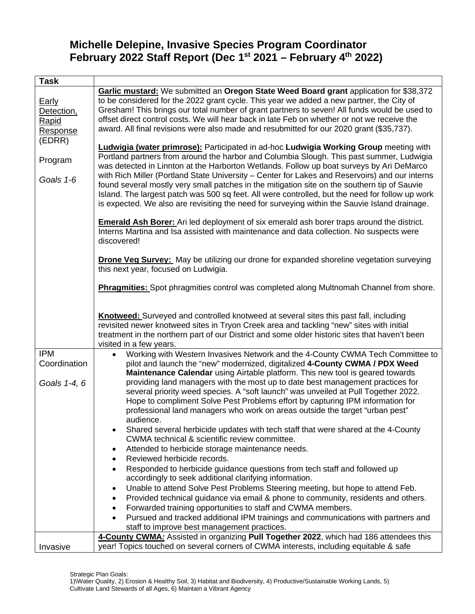## **Michelle Delepine, Invasive Species Program Coordinator February 2022 Staff Report (Dec 1st 2021 – February 4th 2022)**

| <b>Task</b>                                        |                                                                                                                                                                                                                                                                                                                                                                                                                                                                                                                                                                                                                                                                                                                                                                                                                                                                                                                                                                                                                                                                                                                                                                                                                                                                                                                                                                                        |
|----------------------------------------------------|----------------------------------------------------------------------------------------------------------------------------------------------------------------------------------------------------------------------------------------------------------------------------------------------------------------------------------------------------------------------------------------------------------------------------------------------------------------------------------------------------------------------------------------------------------------------------------------------------------------------------------------------------------------------------------------------------------------------------------------------------------------------------------------------------------------------------------------------------------------------------------------------------------------------------------------------------------------------------------------------------------------------------------------------------------------------------------------------------------------------------------------------------------------------------------------------------------------------------------------------------------------------------------------------------------------------------------------------------------------------------------------|
| Early<br>Detection,<br>Rapid<br>Response<br>(EDRR) | Garlic mustard: We submitted an Oregon State Weed Board grant application for \$38,372<br>to be considered for the 2022 grant cycle. This year we added a new partner, the City of<br>Gresham! This brings our total number of grant partners to seven! All funds would be used to<br>offset direct control costs. We will hear back in late Feb on whether or not we receive the<br>award. All final revisions were also made and resubmitted for our 2020 grant (\$35,737).                                                                                                                                                                                                                                                                                                                                                                                                                                                                                                                                                                                                                                                                                                                                                                                                                                                                                                          |
| Program<br>Goals 1-6                               | <b>Ludwigia (water primrose):</b> Participated in ad-hoc Ludwigia Working Group meeting with<br>Portland partners from around the harbor and Columbia Slough. This past summer, Ludwigia<br>was detected in Linnton at the Harborton Wetlands. Follow up boat surveys by Ari DeMarco<br>with Rich Miller (Portland State University - Center for Lakes and Reservoirs) and our interns<br>found several mostly very small patches in the mitigation site on the southern tip of Sauvie<br>Island. The largest patch was 500 sq feet. All were controlled, but the need for follow up work<br>is expected. We also are revisiting the need for surveying within the Sauvie Island drainage.<br><b>Emerald Ash Borer:</b> Ari led deployment of six emerald ash borer traps around the district.<br>Interns Martina and Isa assisted with maintenance and data collection. No suspects were<br>discovered!<br>Drone Veg Survey: May be utilizing our drone for expanded shoreline vegetation surveying                                                                                                                                                                                                                                                                                                                                                                                   |
|                                                    | this next year, focused on Ludwigia.<br><b>Phragmities:</b> Spot phragmities control was completed along Multnomah Channel from shore.<br><b>Knotweed:</b> Surveyed and controlled knotweed at several sites this past fall, including<br>revisited newer knotweed sites in Tryon Creek area and tackling "new" sites with initial<br>treatment in the northern part of our District and some older historic sites that haven't been<br>visited in a few years.                                                                                                                                                                                                                                                                                                                                                                                                                                                                                                                                                                                                                                                                                                                                                                                                                                                                                                                        |
| <b>IPM</b><br>Coordination<br>Goals 1-4, 6         | Working with Western Invasives Network and the 4-County CWMA Tech Committee to<br>$\bullet$<br>pilot and launch the "new" modernized, digitalized 4-County CWMA / PDX Weed<br>Maintenance Calendar using Airtable platform. This new tool is geared towards<br>providing land managers with the most up to date best management practices for<br>several priority weed species. A "soft launch" was unveiled at Pull Together 2022.<br>Hope to compliment Solve Pest Problems effort by capturing IPM information for<br>professional land managers who work on areas outside the target "urban pest"<br>audience.<br>Shared several herbicide updates with tech staff that were shared at the 4-County<br>CWMA technical & scientific review committee.<br>Attended to herbicide storage maintenance needs.<br>Reviewed herbicide records.<br>Responded to herbicide guidance questions from tech staff and followed up<br>accordingly to seek additional clarifying information.<br>Unable to attend Solve Pest Problems Steering meeting, but hope to attend Feb.<br>$\bullet$<br>Provided technical guidance via email & phone to community, residents and others.<br>Forwarded training opportunities to staff and CWMA members.<br>Pursued and tracked additional IPM trainings and communications with partners and<br>$\bullet$<br>staff to improve best management practices. |
| Invasive                                           | 4-County CWMA: Assisted in organizing Pull Together 2022, which had 186 attendees this<br>year! Topics touched on several corners of CWMA interests, including equitable & safe                                                                                                                                                                                                                                                                                                                                                                                                                                                                                                                                                                                                                                                                                                                                                                                                                                                                                                                                                                                                                                                                                                                                                                                                        |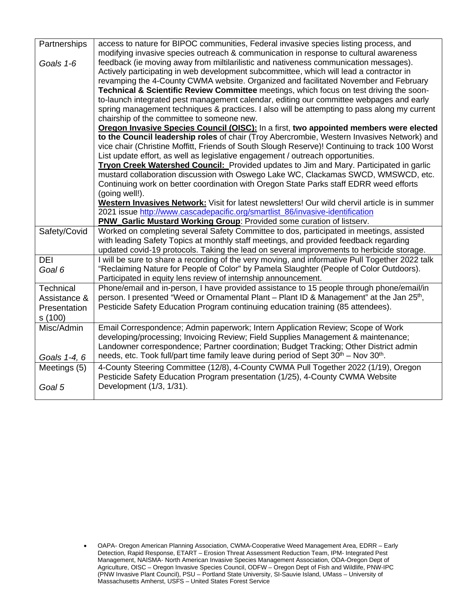| Partnerships     | access to nature for BIPOC communities, Federal invasive species listing process, and                        |
|------------------|--------------------------------------------------------------------------------------------------------------|
|                  | modifying invasive species outreach & communication in response to cultural awareness                        |
| Goals 1-6        | feedback (ie moving away from miltilarilistic and nativeness communication messages).                        |
|                  | Actively participating in web development subcommittee, which will lead a contractor in                      |
|                  | revamping the 4-County CWMA website. Organized and facilitated November and February                         |
|                  | Technical & Scientific Review Committee meetings, which focus on test driving the soon-                      |
|                  | to-launch integrated pest management calendar, editing our committee webpages and early                      |
|                  | spring management techniques & practices. I also will be attempting to pass along my current                 |
|                  | chairship of the committee to someone new.                                                                   |
|                  | Oregon Invasive Species Council (OISC): In a first, two appointed members were elected                       |
|                  | to the Council leadership roles of chair (Troy Abercrombie, Western Invasives Network) and                   |
|                  | vice chair (Christine Moffitt, Friends of South Slough Reserve)! Continuing to track 100 Worst               |
|                  | List update effort, as well as legislative engagement / outreach opportunities.                              |
|                  | Tryon Creek Watershed Council: Provided updates to Jim and Mary. Participated in garlic                      |
|                  | mustard collaboration discussion with Oswego Lake WC, Clackamas SWCD, WMSWCD, etc.                           |
|                  | Continuing work on better coordination with Oregon State Parks staff EDRR weed efforts                       |
|                  | (going well!).                                                                                               |
|                  | Western Invasives Network: Visit for latest newsletters! Our wild chervil article is in summer               |
|                  | 2021 issue http://www.cascadepacific.org/smartlist_86/invasive-identification                                |
|                  | PNW_Garlic Mustard Working Group: Provided some curation of listserv.                                        |
| Safety/Covid     | Worked on completing several Safety Committee to dos, participated in meetings, assisted                     |
|                  | with leading Safety Topics at monthly staff meetings, and provided feedback regarding                        |
|                  | updated covid-19 protocols. Taking the lead on several improvements to herbicide storage.                    |
| <b>DEI</b>       | I will be sure to share a recording of the very moving, and informative Pull Together 2022 talk              |
| Goal 6           | "Reclaiming Nature for People of Color" by Pamela Slaughter (People of Color Outdoors).                      |
|                  | Participated in equity lens review of internship announcement.                                               |
| <b>Technical</b> | Phone/email and in-person, I have provided assistance to 15 people through phone/email/in                    |
| Assistance &     | person. I presented "Weed or Ornamental Plant - Plant ID & Management" at the Jan 25 <sup>th</sup> ,         |
| Presentation     | Pesticide Safety Education Program continuing education training (85 attendees).                             |
| s (100)          |                                                                                                              |
| Misc/Admin       | Email Correspondence; Admin paperwork; Intern Application Review; Scope of Work                              |
|                  | developing/processing; Invoicing Review; Field Supplies Management & maintenance;                            |
|                  | Landowner correspondence; Partner coordination; Budget Tracking; Other District admin                        |
| Goals 1-4, 6     | needs, etc. Took full/part time family leave during period of Sept 30 <sup>th</sup> – Nov 30 <sup>th</sup> . |
| Meetings (5)     | 4-County Steering Committee (12/8), 4-County CWMA Pull Together 2022 (1/19), Oregon                          |
|                  | Pesticide Safety Education Program presentation (1/25), 4-County CWMA Website                                |
| Goal 5           | Development (1/3, 1/31).                                                                                     |
|                  |                                                                                                              |

<sup>•</sup> OAPA- Oregon American Planning Association, CWMA-Cooperative Weed Management Area, EDRR – Early Detection, Rapid Response, ETART – Erosion Threat Assessment Reduction Team, IPM- Integrated Pest Management, NAISMA- North American Invasive Species Management Association, ODA-Oregon Dept of Agriculture, OISC – Oregon Invasive Species Council, ODFW – Oregon Dept of Fish and Wildlife, PNW-IPC (PNW Invasive Plant Council), PSU – Portland State University, SI-Sauvie Island, UMass – University of Massachusetts Amherst, USFS – United States Forest Service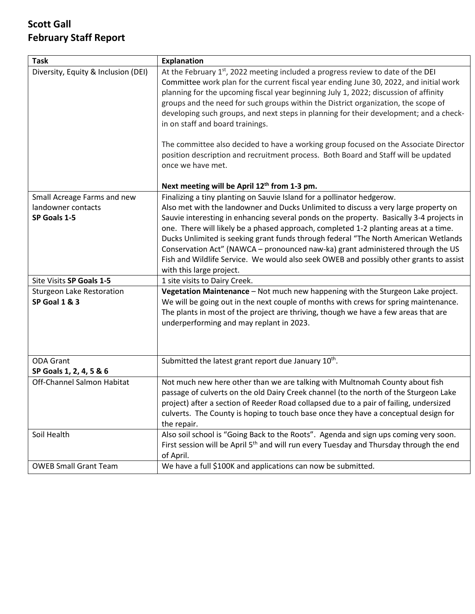# **Scott Gall February Staff Report**

| <b>Task</b>                         | <b>Explanation</b>                                                                                  |
|-------------------------------------|-----------------------------------------------------------------------------------------------------|
| Diversity, Equity & Inclusion (DEI) | At the February 1 <sup>st</sup> , 2022 meeting included a progress review to date of the DEI        |
|                                     | Committee work plan for the current fiscal year ending June 30, 2022, and initial work              |
|                                     | planning for the upcoming fiscal year beginning July 1, 2022; discussion of affinity                |
|                                     | groups and the need for such groups within the District organization, the scope of                  |
|                                     | developing such groups, and next steps in planning for their development; and a check-              |
|                                     | in on staff and board trainings.                                                                    |
|                                     | The committee also decided to have a working group focused on the Associate Director                |
|                                     | position description and recruitment process. Both Board and Staff will be updated                  |
|                                     | once we have met.                                                                                   |
|                                     | Next meeting will be April 12 <sup>th</sup> from 1-3 pm.                                            |
| Small Acreage Farms and new         | Finalizing a tiny planting on Sauvie Island for a pollinator hedgerow.                              |
| landowner contacts                  | Also met with the landowner and Ducks Unlimited to discuss a very large property on                 |
| SP Goals 1-5                        | Sauvie interesting in enhancing several ponds on the property. Basically 3-4 projects in            |
|                                     | one. There will likely be a phased approach, completed 1-2 planting areas at a time.                |
|                                     | Ducks Unlimited is seeking grant funds through federal "The North American Wetlands                 |
|                                     | Conservation Act" (NAWCA - pronounced naw-ka) grant administered through the US                     |
|                                     | Fish and Wildlife Service. We would also seek OWEB and possibly other grants to assist              |
|                                     | with this large project.                                                                            |
| Site Visits SP Goals 1-5            | 1 site visits to Dairy Creek.                                                                       |
| <b>Sturgeon Lake Restoration</b>    | Vegetation Maintenance - Not much new happening with the Sturgeon Lake project.                     |
| SP Goal 1 & 3                       | We will be going out in the next couple of months with crews for spring maintenance.                |
|                                     | The plants in most of the project are thriving, though we have a few areas that are                 |
|                                     | underperforming and may replant in 2023.                                                            |
|                                     |                                                                                                     |
|                                     |                                                                                                     |
| <b>ODA Grant</b>                    | Submitted the latest grant report due January 10 <sup>th</sup> .                                    |
| SP Goals 1, 2, 4, 5 & 6             |                                                                                                     |
| Off-Channel Salmon Habitat          | Not much new here other than we are talking with Multnomah County about fish                        |
|                                     | passage of culverts on the old Dairy Creek channel (to the north of the Sturgeon Lake               |
|                                     | project) after a section of Reeder Road collapsed due to a pair of failing, undersized              |
|                                     | culverts. The County is hoping to touch base once they have a conceptual design for                 |
|                                     | the repair.                                                                                         |
| Soil Health                         | Also soil school is "Going Back to the Roots". Agenda and sign ups coming very soon.                |
|                                     | First session will be April 5 <sup>th</sup> and will run every Tuesday and Thursday through the end |
|                                     | of April.                                                                                           |
| <b>OWEB Small Grant Team</b>        | We have a full \$100K and applications can now be submitted.                                        |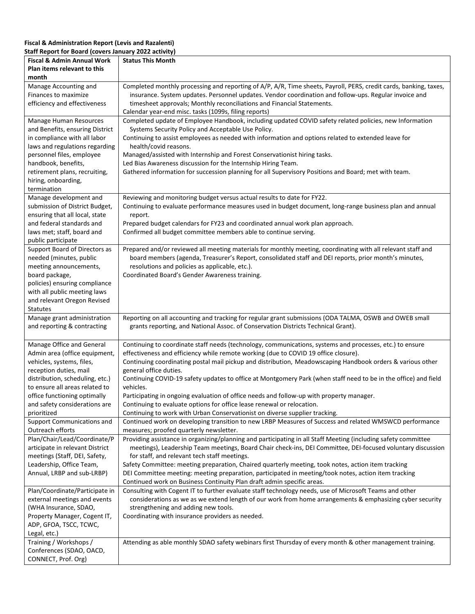#### **Fiscal & Administration Report (Levis and Razalenti) Staff Report for Board (covers January 2022 activity)**

| <b>Fiscal &amp; Admin Annual Work</b>                            | <b>Status This Month</b>                                                                                                                                                                                                   |
|------------------------------------------------------------------|----------------------------------------------------------------------------------------------------------------------------------------------------------------------------------------------------------------------------|
| Plan items relevant to this                                      |                                                                                                                                                                                                                            |
| month                                                            |                                                                                                                                                                                                                            |
| Manage Accounting and<br>Finances to maximize                    | Completed monthly processing and reporting of A/P, A/R, Time sheets, Payroll, PERS, credit cards, banking, taxes,<br>insurance. System updates. Personnel updates. Vendor coordination and follow-ups. Regular invoice and |
| efficiency and effectiveness                                     | timesheet approvals; Monthly reconciliations and Financial Statements.                                                                                                                                                     |
|                                                                  | Calendar year-end misc. tasks (1099s, filing reports)                                                                                                                                                                      |
| Manage Human Resources                                           | Completed update of Employee Handbook, including updated COVID safety related policies, new Information                                                                                                                    |
| and Benefits, ensuring District                                  | Systems Security Policy and Acceptable Use Policy.                                                                                                                                                                         |
| in compliance with all labor                                     | Continuing to assist employees as needed with information and options related to extended leave for                                                                                                                        |
| laws and regulations regarding<br>personnel files, employee      | health/covid reasons.<br>Managed/assisted with Internship and Forest Conservationist hiring tasks.                                                                                                                         |
| handbook, benefits,                                              | Led Bias Awareness discussion for the Internship Hiring Team.                                                                                                                                                              |
| retirement plans, recruiting,                                    | Gathered information for succession planning for all Supervisory Positions and Board; met with team.                                                                                                                       |
| hiring, onboarding,                                              |                                                                                                                                                                                                                            |
| termination                                                      |                                                                                                                                                                                                                            |
| Manage development and                                           | Reviewing and monitoring budget versus actual results to date for FY22.                                                                                                                                                    |
| submission of District Budget,                                   | Continuing to evaluate performance measures used in budget document, long-range business plan and annual                                                                                                                   |
| ensuring that all local, state<br>and federal standards and      | report.<br>Prepared budget calendars for FY23 and coordinated annual work plan approach.                                                                                                                                   |
| laws met; staff, board and                                       | Confirmed all budget committee members able to continue serving.                                                                                                                                                           |
| public participate                                               |                                                                                                                                                                                                                            |
| Support Board of Directors as                                    | Prepared and/or reviewed all meeting materials for monthly meeting, coordinating with all relevant staff and                                                                                                               |
| needed (minutes, public                                          | board members (agenda, Treasurer's Report, consolidated staff and DEI reports, prior month's minutes,                                                                                                                      |
| meeting announcements,                                           | resolutions and policies as applicable, etc.).                                                                                                                                                                             |
| board package,<br>policies) ensuring compliance                  | Coordinated Board's Gender Awareness training.                                                                                                                                                                             |
| with all public meeting laws                                     |                                                                                                                                                                                                                            |
| and relevant Oregon Revised                                      |                                                                                                                                                                                                                            |
| <b>Statutes</b>                                                  |                                                                                                                                                                                                                            |
| Manage grant administration                                      | Reporting on all accounting and tracking for regular grant submissions (ODA TALMA, OSWB and OWEB small                                                                                                                     |
| and reporting & contracting                                      | grants reporting, and National Assoc. of Conservation Districts Technical Grant).                                                                                                                                          |
| Manage Office and General                                        | Continuing to coordinate staff needs (technology, communications, systems and processes, etc.) to ensure                                                                                                                   |
| Admin area (office equipment,                                    | effectiveness and efficiency while remote working (due to COVID 19 office closure).                                                                                                                                        |
| vehicles, systems, files,                                        | Continuing coordinating postal mail pickup and distribution, Meadowscaping Handbook orders & various other                                                                                                                 |
| reception duties, mail                                           | general office duties.                                                                                                                                                                                                     |
| distribution, scheduling, etc.)                                  | Continuing COVID-19 safety updates to office at Montgomery Park (when staff need to be in the office) and field                                                                                                            |
| to ensure all areas related to                                   | vehicles.<br>Participating in ongoing evaluation of office needs and follow-up with property manager.                                                                                                                      |
| office functioning optimally<br>and safety considerations are    | Continuing to evaluate options for office lease renewal or relocation.                                                                                                                                                     |
| prioritized                                                      | Continuing to work with Urban Conservationist on diverse supplier tracking.                                                                                                                                                |
| Support Communications and                                       | Continued work on developing transition to new LRBP Measures of Success and related WMSWCD performance                                                                                                                     |
| Outreach efforts                                                 | measures; proofed quarterly newsletter.                                                                                                                                                                                    |
| Plan/Chair/Lead/Coordinate/P                                     | Providing assistance in organizing/planning and participating in all Staff Meeting (including safety committee                                                                                                             |
| articipate in relevant District<br>meetings (Staff, DEI, Safety, | meetings), Leadership Team meetings, Board Chair check-ins, DEI Committee, DEI-focused voluntary discussion<br>for staff, and relevant tech staff meetings.                                                                |
| Leadership, Office Team,                                         | Safety Committee: meeting preparation, Chaired quarterly meeting, took notes, action item tracking                                                                                                                         |
| Annual, LRBP and sub-LRBP)                                       | DEI Committee meeting: meeting preparation, participated in meeting/took notes, action item tracking                                                                                                                       |
|                                                                  | Continued work on Business Continuity Plan draft admin specific areas.                                                                                                                                                     |
| Plan/Coordinate/Participate in                                   | Consulting with Cogent IT to further evaluate staff technology needs, use of Microsoft Teams and other                                                                                                                     |
| external meetings and events                                     | considerations as we as we extend length of our work from home arrangements & emphasizing cyber security                                                                                                                   |
| (WHA Insurance, SDAO,                                            | strengthening and adding new tools.                                                                                                                                                                                        |
| Property Manager, Cogent IT,<br>ADP, GFOA, TSCC, TCWC,           | Coordinating with insurance providers as needed.                                                                                                                                                                           |
| Legal, etc.)                                                     |                                                                                                                                                                                                                            |
| Training / Workshops /                                           | Attending as able monthly SDAO safety webinars first Thursday of every month & other management training.                                                                                                                  |
| Conferences (SDAO, OACD,                                         |                                                                                                                                                                                                                            |
| CONNECT, Prof. Org)                                              |                                                                                                                                                                                                                            |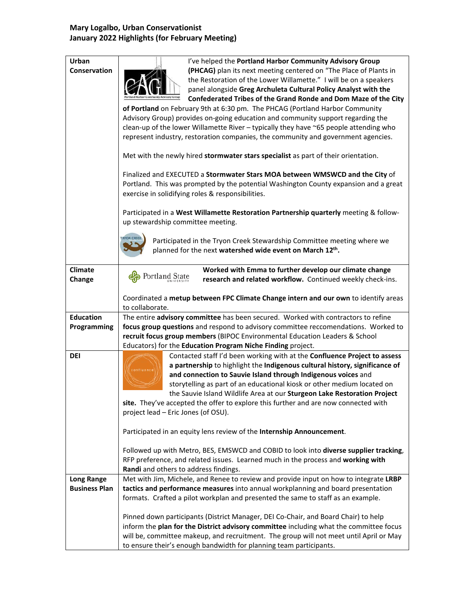### **Mary Logalbo, Urban Conservationist January 2022 Highlights (for February Meeting)**

| Urban                                     | I've helped the Portland Harbor Community Advisory Group                                                                                                             |
|-------------------------------------------|----------------------------------------------------------------------------------------------------------------------------------------------------------------------|
| Conservation                              | (PHCAG) plan its next meeting centered on "The Place of Plants in                                                                                                    |
|                                           | the Restoration of the Lower Willamette." I will be on a speakers                                                                                                    |
|                                           | panel alongside Greg Archuleta Cultural Policy Analyst with the                                                                                                      |
|                                           | Confederated Tribes of the Grand Ronde and Dom Maze of the City                                                                                                      |
|                                           | of Portland on February 9th at 6:30 pm. The PHCAG (Portland Harbor Community<br>Advisory Group) provides on-going education and community support regarding the      |
|                                           | clean-up of the lower Willamette River - typically they have ~65 people attending who                                                                                |
|                                           | represent industry, restoration companies, the community and government agencies.                                                                                    |
|                                           |                                                                                                                                                                      |
|                                           | Met with the newly hired stormwater stars specialist as part of their orientation.                                                                                   |
|                                           | Finalized and EXECUTED a Stormwater Stars MOA between WMSWCD and the City of                                                                                         |
|                                           | Portland. This was prompted by the potential Washington County expansion and a great                                                                                 |
|                                           | exercise in solidifying roles & responsibilities.                                                                                                                    |
|                                           | Participated in a West Willamette Restoration Partnership quarterly meeting & follow-                                                                                |
|                                           | up stewardship committee meeting.                                                                                                                                    |
|                                           |                                                                                                                                                                      |
|                                           | <b><i>YON CREEK</i></b><br>Participated in the Tryon Creek Stewardship Committee meeting where we                                                                    |
|                                           | planned for the next watershed wide event on March 12th.                                                                                                             |
| <b>Climate</b>                            | Worked with Emma to further develop our climate change                                                                                                               |
| Change                                    | Portland State<br>research and related workflow. Continued weekly check-ins.                                                                                         |
|                                           |                                                                                                                                                                      |
|                                           | Coordinated a metup between FPC Climate Change intern and our own to identify areas                                                                                  |
|                                           | to collaborate.                                                                                                                                                      |
| <b>Education</b>                          | The entire advisory committee has been secured. Worked with contractors to refine                                                                                    |
| Programming                               | focus group questions and respond to advisory committee reccomendations. Worked to<br>recruit focus group members (BIPOC Environmental Education Leaders & School    |
|                                           | Educators) for the Education Program Niche Finding project.                                                                                                          |
| <b>DEI</b>                                | Contacted staff I'd been working with at the Confluence Project to assess                                                                                            |
|                                           | a partnership to highlight the Indigenous cultural history, significance of<br>onfluence                                                                             |
|                                           | and connection to Sauvie Island through Indigenous voices and                                                                                                        |
|                                           | storytelling as part of an educational kiosk or other medium located on                                                                                              |
|                                           | the Sauvie Island Wildlife Area at our Sturgeon Lake Restoration Project                                                                                             |
|                                           | site. They've accepted the offer to explore this further and are now connected with                                                                                  |
|                                           | project lead - Eric Jones (of OSU).                                                                                                                                  |
|                                           | Participated in an equity lens review of the Internship Announcement.                                                                                                |
|                                           |                                                                                                                                                                      |
|                                           | Followed up with Metro, BES, EMSWCD and COBID to look into diverse supplier tracking,                                                                                |
|                                           | RFP preference, and related issues. Learned much in the process and working with                                                                                     |
|                                           | Randi and others to address findings.                                                                                                                                |
| <b>Long Range</b><br><b>Business Plan</b> | Met with Jim, Michele, and Renee to review and provide input on how to integrate LRBP                                                                                |
|                                           | tactics and performance measures into annual workplanning and board presentation<br>formats. Crafted a pilot workplan and presented the same to staff as an example. |
|                                           |                                                                                                                                                                      |
|                                           | Pinned down participants (District Manager, DEI Co-Chair, and Board Chair) to help                                                                                   |
|                                           | inform the plan for the District advisory committee including what the committee focus                                                                               |
|                                           | will be, committee makeup, and recruitment. The group will not meet until April or May                                                                               |
|                                           | to ensure their's enough bandwidth for planning team participants.                                                                                                   |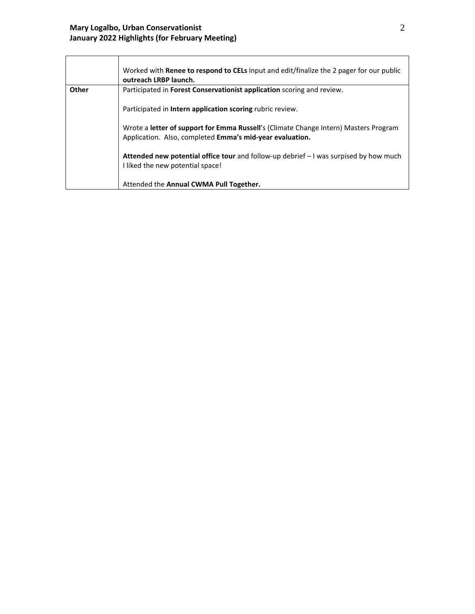|       | Worked with Renee to respond to CELs input and edit/finalize the 2 pager for our public<br>outreach LRBP launch. |
|-------|------------------------------------------------------------------------------------------------------------------|
| Other | Participated in Forest Conservationist application scoring and review.                                           |
|       |                                                                                                                  |
|       | Participated in Intern application scoring rubric review.                                                        |
|       |                                                                                                                  |
|       | Wrote a letter of support for Emma Russell's (Climate Change Intern) Masters Program                             |
|       | Application. Also, completed Emma's mid-year evaluation.                                                         |
|       |                                                                                                                  |
|       | Attended new potential office tour and follow-up debrief - I was surpised by how much                            |
|       | I liked the new potential space!                                                                                 |
|       |                                                                                                                  |
|       | Attended the Annual CWMA Pull Together.                                                                          |
|       |                                                                                                                  |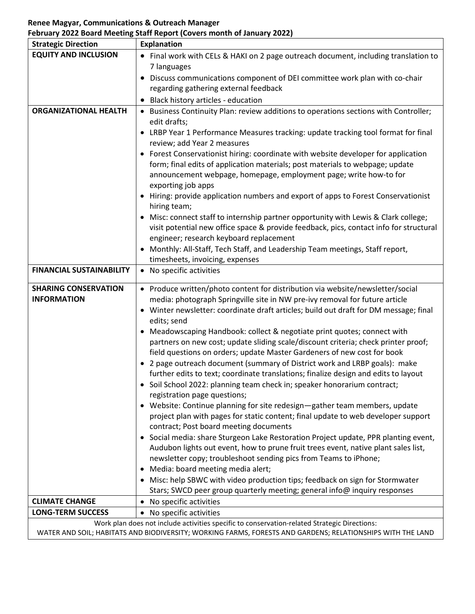#### **Renee Magyar, Communications & Outreach Manager February 2022 Board Meeting Staff Report (Covers month of January 2022)**

| <b>Strategic Direction</b>      | <b>Explanation</b>                                                                                                                                                                                         |
|---------------------------------|------------------------------------------------------------------------------------------------------------------------------------------------------------------------------------------------------------|
| <b>EQUITY AND INCLUSION</b>     | • Final work with CELs & HAKI on 2 page outreach document, including translation to                                                                                                                        |
|                                 | 7 languages                                                                                                                                                                                                |
|                                 | Discuss communications component of DEI committee work plan with co-chair                                                                                                                                  |
|                                 | regarding gathering external feedback                                                                                                                                                                      |
|                                 | Black history articles - education                                                                                                                                                                         |
| <b>ORGANIZATIONAL HEALTH</b>    | • Business Continuity Plan: review additions to operations sections with Controller;                                                                                                                       |
|                                 | edit drafts;                                                                                                                                                                                               |
|                                 | LRBP Year 1 Performance Measures tracking: update tracking tool format for final                                                                                                                           |
|                                 | review; add Year 2 measures                                                                                                                                                                                |
|                                 | Forest Conservationist hiring: coordinate with website developer for application<br>٠                                                                                                                      |
|                                 | form; final edits of application materials; post materials to webpage; update                                                                                                                              |
|                                 | announcement webpage, homepage, employment page; write how-to for                                                                                                                                          |
|                                 | exporting job apps                                                                                                                                                                                         |
|                                 | Hiring: provide application numbers and export of apps to Forest Conservationist                                                                                                                           |
|                                 | hiring team;                                                                                                                                                                                               |
|                                 | Misc: connect staff to internship partner opportunity with Lewis & Clark college;                                                                                                                          |
|                                 | visit potential new office space & provide feedback, pics, contact info for structural<br>engineer; research keyboard replacement                                                                          |
|                                 | Monthly: All-Staff, Tech Staff, and Leadership Team meetings, Staff report,                                                                                                                                |
|                                 | timesheets, invoicing, expenses                                                                                                                                                                            |
| <b>FINANCIAL SUSTAINABILITY</b> | • No specific activities                                                                                                                                                                                   |
|                                 |                                                                                                                                                                                                            |
| <b>SHARING CONSERVATION</b>     | • Produce written/photo content for distribution via website/newsletter/social                                                                                                                             |
| <b>INFORMATION</b>              | media: photograph Springville site in NW pre-ivy removal for future article                                                                                                                                |
|                                 | Winter newsletter: coordinate draft articles; build out draft for DM message; final                                                                                                                        |
|                                 | edits; send                                                                                                                                                                                                |
|                                 | Meadowscaping Handbook: collect & negotiate print quotes; connect with                                                                                                                                     |
|                                 | partners on new cost; update sliding scale/discount criteria; check printer proof;                                                                                                                         |
|                                 | field questions on orders; update Master Gardeners of new cost for book<br>• 2 page outreach document (summary of District work and LRBP goals): make                                                      |
|                                 | further edits to text; coordinate translations; finalize design and edits to layout                                                                                                                        |
|                                 | Soil School 2022: planning team check in; speaker honorarium contract;                                                                                                                                     |
|                                 | registration page questions;                                                                                                                                                                               |
|                                 | • Website: Continue planning for site redesign-gather team members, update                                                                                                                                 |
|                                 | project plan with pages for static content; final update to web developer support                                                                                                                          |
|                                 | contract; Post board meeting documents                                                                                                                                                                     |
|                                 | Social media: share Sturgeon Lake Restoration Project update, PPR planting event,<br>٠                                                                                                                     |
|                                 | Audubon lights out event, how to prune fruit trees event, native plant sales list,                                                                                                                         |
|                                 | newsletter copy; troubleshoot sending pics from Teams to iPhone;                                                                                                                                           |
|                                 | Media: board meeting media alert;<br>$\bullet$                                                                                                                                                             |
|                                 | Misc: help SBWC with video production tips; feedback on sign for Stormwater                                                                                                                                |
|                                 | Stars; SWCD peer group quarterly meeting; general info@ inquiry responses                                                                                                                                  |
| <b>CLIMATE CHANGE</b>           | No specific activities                                                                                                                                                                                     |
| <b>LONG-TERM SUCCESS</b>        | • No specific activities                                                                                                                                                                                   |
|                                 | Work plan does not include activities specific to conservation-related Strategic Directions:<br>WATER AND SOIL; HABITATS AND BIODIVERSITY; WORKING FARMS, FORESTS AND GARDENS; RELATIONSHIPS WITH THE LAND |